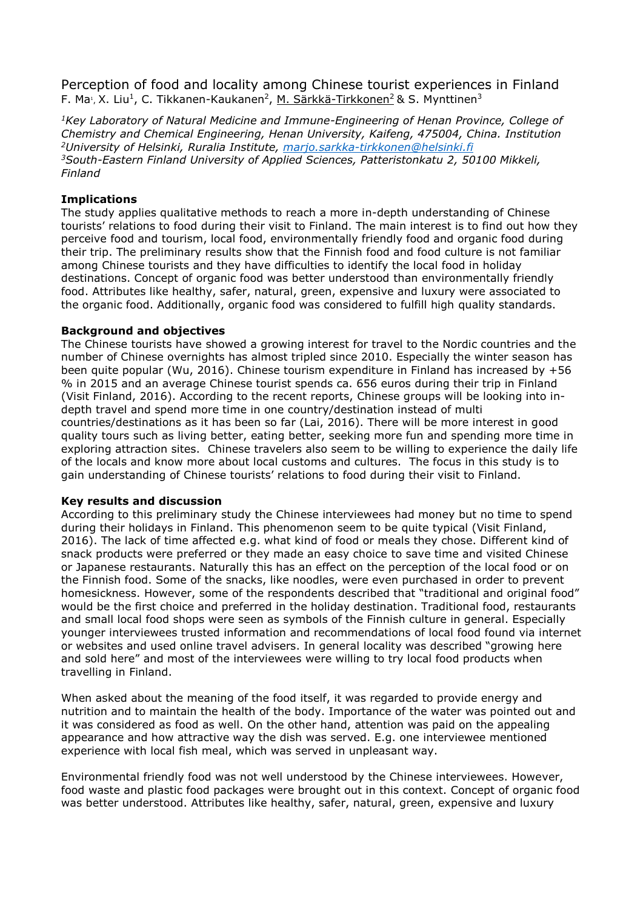Perception of food and locality among Chinese tourist experiences in Finland F. Ma<sub>1</sub>, X. Liu<sup>1</sup>, C. Tikkanen-Kaukanen<sup>2</sup>, <u>M. Särkkä-Tirkkonen<sup>2</sup></u>& S. Mynttinen<sup>3</sup>

*<sup>1</sup>Key Laboratory of Natural Medicine and Immune-Engineering of Henan Province, College of Chemistry and Chemical Engineering, Henan University, Kaifeng, 475004, China. Institution <sup>2</sup>University of Helsinki, Ruralia Institute, [marjo.sarkka-tirkkonen@helsinki.fi](mailto:marjo.sarkka-tirkkonen@helsinki.fi) <sup>3</sup>South-Eastern Finland University of Applied Sciences, Patteristonkatu 2, 50100 Mikkeli, Finland*

# **Implications**

The study applies qualitative methods to reach a more in-depth understanding of Chinese tourists' relations to food during their visit to Finland. The main interest is to find out how they perceive food and tourism, local food, environmentally friendly food and organic food during their trip. The preliminary results show that the Finnish food and food culture is not familiar among Chinese tourists and they have difficulties to identify the local food in holiday destinations. Concept of organic food was better understood than environmentally friendly food. Attributes like healthy, safer, natural, green, expensive and luxury were associated to the organic food. Additionally, organic food was considered to fulfill high quality standards.

## **Background and objectives**

The Chinese tourists have showed a growing interest for travel to the Nordic countries and the number of Chinese overnights has almost tripled since 2010. Especially the winter season has been quite popular (Wu, 2016). Chinese tourism expenditure in Finland has increased by +56 % in 2015 and an average Chinese tourist spends ca. 656 euros during their trip in Finland (Visit Finland, 2016). According to the recent reports, Chinese groups will be looking into indepth travel and spend more time in one country/destination instead of multi countries/destinations as it has been so far (Lai, 2016). There will be more interest in good quality tours such as living better, eating better, seeking more fun and spending more time in exploring attraction sites. Chinese travelers also seem to be willing to experience the daily life of the locals and know more about local customs and cultures. The focus in this study is to gain understanding of Chinese tourists' relations to food during their visit to Finland.

## **Key results and discussion**

According to this preliminary study the Chinese interviewees had money but no time to spend during their holidays in Finland. This phenomenon seem to be quite typical (Visit Finland, 2016). The lack of time affected e.g. what kind of food or meals they chose. Different kind of snack products were preferred or they made an easy choice to save time and visited Chinese or Japanese restaurants. Naturally this has an effect on the perception of the local food or on the Finnish food. Some of the snacks, like noodles, were even purchased in order to prevent homesickness. However, some of the respondents described that "traditional and original food" would be the first choice and preferred in the holiday destination. Traditional food, restaurants and small local food shops were seen as symbols of the Finnish culture in general. Especially younger interviewees trusted information and recommendations of local food found via internet or websites and used online travel advisers. In general locality was described "growing here and sold here" and most of the interviewees were willing to try local food products when travelling in Finland.

When asked about the meaning of the food itself, it was regarded to provide energy and nutrition and to maintain the health of the body. Importance of the water was pointed out and it was considered as food as well. On the other hand, attention was paid on the appealing appearance and how attractive way the dish was served. E.g. one interviewee mentioned experience with local fish meal, which was served in unpleasant way.

Environmental friendly food was not well understood by the Chinese interviewees. However, food waste and plastic food packages were brought out in this context. Concept of organic food was better understood. Attributes like healthy, safer, natural, green, expensive and luxury